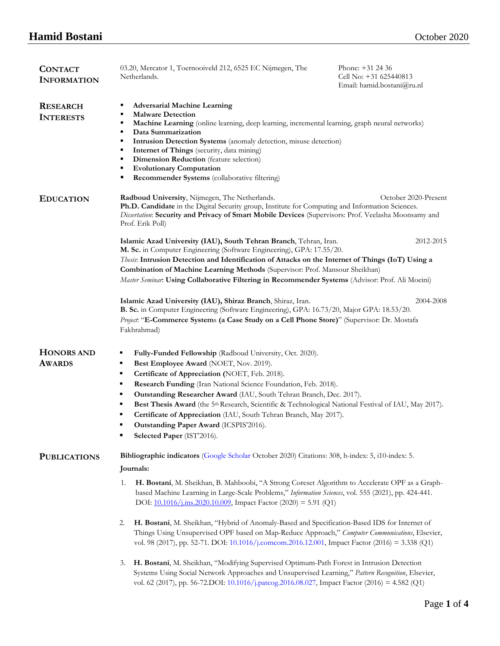| <b>CONTACT</b><br><b>INFORMATION</b> | 03.20, Mercator 1, Toernooiveld 212, 6525 EC Nijmegen, The<br>Netherlands.                                                                                                                                                                                                                                                                                                                                                                                                                                                                                                                              | Phone: +31 24 36<br>Cell No: +31 625440813<br>Email: hamid.bostani@ru.nl |  |
|--------------------------------------|---------------------------------------------------------------------------------------------------------------------------------------------------------------------------------------------------------------------------------------------------------------------------------------------------------------------------------------------------------------------------------------------------------------------------------------------------------------------------------------------------------------------------------------------------------------------------------------------------------|--------------------------------------------------------------------------|--|
| <b>RESEARCH</b><br><b>INTERESTS</b>  | <b>Adversarial Machine Learning</b><br>٠<br><b>Malware Detection</b><br>٠                                                                                                                                                                                                                                                                                                                                                                                                                                                                                                                               |                                                                          |  |
|                                      | Machine Learning (online learning, deep learning, incremental learning, graph neural networks)<br>٠<br>Data Summarization<br>٠<br>Intrusion Detection Systems (anomaly detection, misuse detection)<br>٠<br>Internet of Things (security, data mining)<br>٠                                                                                                                                                                                                                                                                                                                                             |                                                                          |  |
|                                      | Dimension Reduction (feature selection)<br>٠                                                                                                                                                                                                                                                                                                                                                                                                                                                                                                                                                            |                                                                          |  |
|                                      | <b>Evolutionary Computation</b><br>٠                                                                                                                                                                                                                                                                                                                                                                                                                                                                                                                                                                    |                                                                          |  |
|                                      | Recommender Systems (collaborative filtering)<br>٠                                                                                                                                                                                                                                                                                                                                                                                                                                                                                                                                                      |                                                                          |  |
| <b>EDUCATION</b>                     | Radboud University, Nijmegen, The Netherlands.<br>October 2020-Present<br>Ph.D. Candidate in the Digital Security group, Institute for Computing and Information Sciences.<br>Dissertation: Security and Privacy of Smart Mobile Devices (Supervisors: Prof. Veelasha Moonsamy and<br>Prof. Erik Poll)                                                                                                                                                                                                                                                                                                  |                                                                          |  |
|                                      | Islamic Azad University (IAU), South Tehran Branch, Tehran, Iran.<br>M. Sc. in Computer Engineering (Software Engineering), GPA: 17.55/20.                                                                                                                                                                                                                                                                                                                                                                                                                                                              | 2012-2015                                                                |  |
|                                      | Thesis: Intrusion Detection and Identification of Attacks on the Internet of Things (IoT) Using a                                                                                                                                                                                                                                                                                                                                                                                                                                                                                                       |                                                                          |  |
|                                      | Combination of Machine Learning Methods (Supervisor: Prof. Mansour Sheikhan)                                                                                                                                                                                                                                                                                                                                                                                                                                                                                                                            |                                                                          |  |
|                                      | Master Seminar: Using Collaborative Filtering in Recommender Systems (Advisor: Prof. Ali Moeini)                                                                                                                                                                                                                                                                                                                                                                                                                                                                                                        |                                                                          |  |
|                                      | Islamic Azad University (IAU), Shiraz Branch, Shiraz, Iran.<br>2004-2008<br>B. Sc. in Computer Engineering (Software Engineering), GPA: 16.73/20, Major GPA: 18.53/20.<br>Project: "E-Commerce Systems (a Case Study on a Cell Phone Store)" (Supervisor: Dr. Mostafa<br>Fakhrahmad)                                                                                                                                                                                                                                                                                                                    |                                                                          |  |
| <b>HONORS AND</b><br><b>AWARDS</b>   | Fully-Funded Fellowship (Radboud University, Oct. 2020).<br>٠<br>Best Employee Award (NOET, Nov. 2019).<br>٠<br>٠<br>Certificate of Appreciation (NOET, Feb. 2018).<br>Research Funding (Iran National Science Foundation, Feb. 2018).<br>٠<br>Outstanding Researcher Award (IAU, South Tehran Branch, Dec. 2017).<br>٠<br>Best Thesis Award (the 5 <sup>th</sup> Research, Scientific & Technological National Festival of IAU, May 2017).<br>٠<br>Certificate of Appreciation (IAU, South Tehran Branch, May 2017).<br>٠<br>Outstanding Paper Award (ICSPIS'2016).<br>٠<br>Selected Paper (IST'2016). |                                                                          |  |
| <b>PUBLICATIONS</b>                  | Bibliographic indicators (Google Scholar October 2020) Citations: 308, h-index: 5, i10-index: 5.<br>Journals:                                                                                                                                                                                                                                                                                                                                                                                                                                                                                           |                                                                          |  |
|                                      | H. Bostani, M. Sheikhan, B. Mahboobi, "A Strong Coreset Algorithm to Accelerate OPF as a Graph-<br>1.<br>based Machine Learning in Large-Scale Problems," Information Sciences, vol. 555 (2021), pp. 424-441.<br>DOI: 10.1016/j.ins.2020.10.009, Impact Factor (2020) = 5.91 (Q1)                                                                                                                                                                                                                                                                                                                       |                                                                          |  |
|                                      | H. Bostani, M. Sheikhan, "Hybrid of Anomaly-Based and Specification-Based IDS for Internet of<br>2.<br>Things Using Unsupervised OPF based on Map-Reduce Approach," Computer Communications, Elsevier,<br>vol. 98 (2017), pp. 52-71. DOI: 10.1016/j.comcom.2016.12.001, Impact Factor (2016) = 3.338 (Q1)                                                                                                                                                                                                                                                                                               |                                                                          |  |
|                                      | H. Bostani, M. Sheikhan, "Modifying Supervised Optimum-Path Forest in Intrusion Detection<br>3.<br>Systems Using Social Network Approaches and Unsupervised Learning," Pattern Recognition, Elsevier,<br>vol. 62 (2017), pp. 56-72.DOI: $10.1016/j$ .patcog.2016.08.027, Impact Factor (2016) = 4.582 (Q1)                                                                                                                                                                                                                                                                                              |                                                                          |  |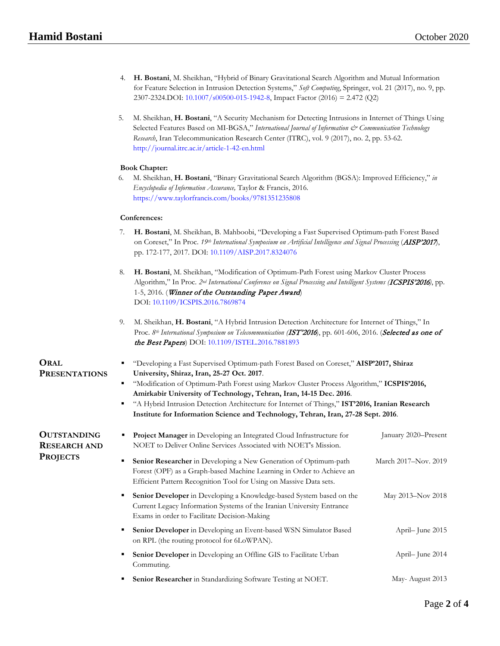- 4. **H. Bostani**, M. Sheikhan, "Hybrid of Binary Gravitational Search Algorithm and Mutual Information for Feature Selection in Intrusion Detection Systems," *Soft Computing*, Springer, vol. 21 (2017), no. 9, pp. 2307-2324.DOI: [10.1007/s00500-015-1942-8,](http://dx.doi.org/10.1007/s00500-015-1942-8) Impact Factor (2016) = 2.472 (Q2)
- 5. M. Sheikhan, **H. Bostani**, "A Security Mechanism for Detecting Intrusions in Internet of Things Using Selected Features Based on MI-BGSA," International Journal of Information  $\mathcal{C}^*$  Communication Technology *Research*, Iran Telecommunication Research Center (ITRC), vol. 9 (2017), no. 2, pp. 53-62[.](http://journal.itrc.ac.ir/article-1-42-en.html) <http://journal.itrc.ac.ir/article-1-42-en.html>

## **Book Chapter:**

6. M. Sheikhan, **H. Bostani**, "Binary Gravitational Search Algorithm (BGSA): Improved Efficiency," *in Encyclopedia of Information Assurance,* Taylor & Francis, 2016. <https://www.taylorfrancis.com/books/9781351235808>

## **Conferences:**

- 7. **H. Bostani**, M. Sheikhan, B. Mahboobi, "Developing a Fast Supervised Optimum-path Forest Based on Coreset," In Proc. *19th International Symposium on Artificial Intelligence and Signal Processing* (AISP'2017), pp. 172-177, 2017. DOI: [10.1109/AISP.2017.8324076](https://doi.org/10.1109/AISP.2017.8324076)
- 8. **H. Bostani**, M. Sheikhan, "Modification of Optimum-Path Forest using Markov Cluster Process Algorithm," In Proc. *2nd International Conference on Signal Processing and Intelligent Systems (*ICSPIS'2016*)*, pp. 1-5, 2016. (Winner of the Outstanding Paper Award) DOI: [10.1109/ICSPIS.2016.7869874](https://doi.org/10.1109/ICSPIS.2016.7869874)
- 9. M. Sheikhan, **H. Bostani**, "A Hybrid Intrusion Detection Architecture for Internet of Things," In Proc. 8<sup>th</sup> International Symposium on Telecommunication (IST'2016), pp. 601-606, 2016. (Selected as one of the Best Papers) DOI[: 10.1109/ISTEL.2016.7881893](https://doi.org/10.1109/ISTEL.2016.7881893)

# **ORAL PRESENTATIONS**

**PROJECTS**

- "Developing a Fast Supervised Optimum-path Forest Based on Coreset," **AISP'2017, Shiraz University, Shiraz, Iran, 25-27 Oct. 2017**.
- "Modification of Optimum-Path Forest using Markov Cluster Process Algorithm," **ICSPIS'2016, Amirkabir University of Technology, Tehran, Iran, 14-15 Dec. 2016**.
- "A Hybrid Intrusion Detection Architecture for Internet of Things," **IST'2016, Iranian Research Institute for Information Science and Technology, Tehran, Iran, 27-28 Sept. 2016**.

#### **OUTSTANDING RESEARCH AND Project Manager** in Developing an Integrated Cloud Infrastructure for NOET to Deliver Online Services Associated with NOET's Mission. January 2020–Present **Senior Researcher** in Developing a New Generation of Optimum-path Forest (OPF) as a Graph-based Machine Learning in Order to Achieve an Efficient Pattern Recognition Tool for Using on Massive Data sets. March 2017–Nov. 2019 **Senior Developer** in Developing a Knowledge-based System based on the Current Legacy Information Systems of the Iranian University Entrance Exams in order to Facilitate Decision-Making May 2013–Nov 2018 **Senior Developer** in Developing an Event-based WSN Simulator Based on RPL (the routing protocol for 6LoWPAN). April– June 2015 **Senior Developer** in Developing an Offline GIS to Facilitate Urban Commuting. April– June 2014 **Senior Researcher** in Standardizing Software Testing at NOET. May- August 2013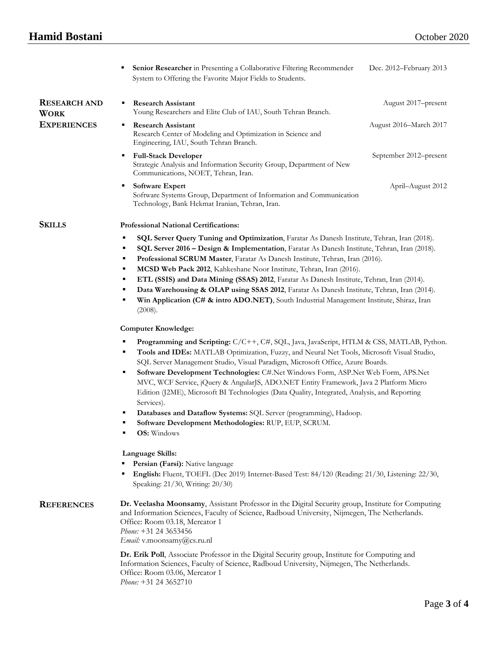# **Hamid Bostani** October 2020

|                                    | Senior Researcher in Presenting a Collaborative Filtering Recommender<br>٠<br>System to Offering the Favorite Major Fields to Students.                                                                                                                                                                                                                                                                                                                                                                                                                                                                                                                                                                                                     | Dec. 2012-February 2013 |  |
|------------------------------------|---------------------------------------------------------------------------------------------------------------------------------------------------------------------------------------------------------------------------------------------------------------------------------------------------------------------------------------------------------------------------------------------------------------------------------------------------------------------------------------------------------------------------------------------------------------------------------------------------------------------------------------------------------------------------------------------------------------------------------------------|-------------------------|--|
| <b>RESEARCH AND</b><br><b>WORK</b> | <b>Research Assistant</b><br>٠<br>Young Researchers and Elite Club of IAU, South Tehran Branch.                                                                                                                                                                                                                                                                                                                                                                                                                                                                                                                                                                                                                                             | August 2017–present     |  |
| <b>EXPERIENCES</b>                 | <b>Research Assistant</b><br>٠<br>Research Center of Modeling and Optimization in Science and<br>Engineering, IAU, South Tehran Branch.                                                                                                                                                                                                                                                                                                                                                                                                                                                                                                                                                                                                     | August 2016–March 2017  |  |
|                                    | <b>Full-Stack Developer</b><br>٠<br>Strategic Analysis and Information Security Group, Department of New<br>Communications, NOET, Tehran, Iran.                                                                                                                                                                                                                                                                                                                                                                                                                                                                                                                                                                                             | September 2012–present  |  |
|                                    | <b>Software Expert</b><br>٠<br>Software Systems Group, Department of Information and Communication<br>Technology, Bank Hekmat Iranian, Tehran, Iran.                                                                                                                                                                                                                                                                                                                                                                                                                                                                                                                                                                                        | April-August 2012       |  |
| <b>SKILLS</b>                      | <b>Professional National Certifications:</b>                                                                                                                                                                                                                                                                                                                                                                                                                                                                                                                                                                                                                                                                                                |                         |  |
|                                    | SQL Server Query Tuning and Optimization, Faratar As Danesh Institute, Tehran, Iran (2018).<br>٠<br>SQL Server 2016 - Design & Implementation, Faratar As Danesh Institute, Tehran, Iran (2018).<br>п<br>Professional SCRUM Master, Faratar As Danesh Institute, Tehran, Iran (2016).<br>٠<br>MCSD Web Pack 2012, Kahkeshane Noor Institute, Tehran, Iran (2016).<br>٠<br>ETL (SSIS) and Data Mining (SSAS) 2012, Faratar As Danesh Institute, Tehran, Iran (2014).<br>п<br>Data Warehousing & OLAP using SSAS 2012, Faratar As Danesh Institute, Tehran, Iran (2014).<br>Ξ<br>Win Application (C# & intro ADO.NET), South Industrial Management Institute, Shiraz, Iran<br>п<br>(2008).<br><b>Computer Knowledge:</b>                      |                         |  |
|                                    |                                                                                                                                                                                                                                                                                                                                                                                                                                                                                                                                                                                                                                                                                                                                             |                         |  |
|                                    | Programming and Scripting: C/C++, C#, SQL, Java, JavaScript, HTLM & CSS, MATLAB, Python.<br>Tools and IDEs: MATLAB Optimization, Fuzzy, and Neural Net Tools, Microsoft Visual Studio,<br>п<br>SQL Server Management Studio, Visual Paradigm, Microsoft Office, Azure Boards.<br>Software Development Technologies: C#.Net Windows Form, ASP.Net Web Form, APS.Net<br>٠<br>MVC, WCF Service, jQuery & AngularJS, ADO.NET Entity Framework, Java 2 Platform Micro<br>Edition (J2ME), Microsoft BI Technologies (Data Quality, Integrated, Analysis, and Reporting<br>Services).<br>Databases and Dataflow Systems: SQL Server (programming), Hadoop.<br>п<br>Software Development Methodologies: RUP, EUP, SCRUM.<br><b>OS:</b> Windows<br>٠ |                         |  |
|                                    | Language Skills:                                                                                                                                                                                                                                                                                                                                                                                                                                                                                                                                                                                                                                                                                                                            |                         |  |
|                                    | Persian (Farsi): Native language<br>English: Fluent, TOEFL (Dec 2019) Internet-Based Test: 84/120 (Reading: 21/30, Listening: 22/30,<br>٠<br>Speaking: 21/30, Writing: 20/30)                                                                                                                                                                                                                                                                                                                                                                                                                                                                                                                                                               |                         |  |
| <b>REFERENCES</b>                  | Dr. Veelasha Moonsamy, Assistant Professor in the Digital Security group, Institute for Computing<br>and Information Sciences, Faculty of Science, Radboud University, Nijmegen, The Netherlands.<br>Office: Room 03.18, Mercator 1<br>Phone: +31 24 3653456<br>Email: v.moonsamy@cs.ru.nl                                                                                                                                                                                                                                                                                                                                                                                                                                                  |                         |  |
|                                    | Dr. Erik Poll, Associate Professor in the Digital Security group, Institute for Computing and                                                                                                                                                                                                                                                                                                                                                                                                                                                                                                                                                                                                                                               |                         |  |

Information Sciences, Faculty of Science, Radboud University, Nijmegen, The Netherlands. Office: Room 03.06, Mercator 1 *Phone:* +31 24 3652710